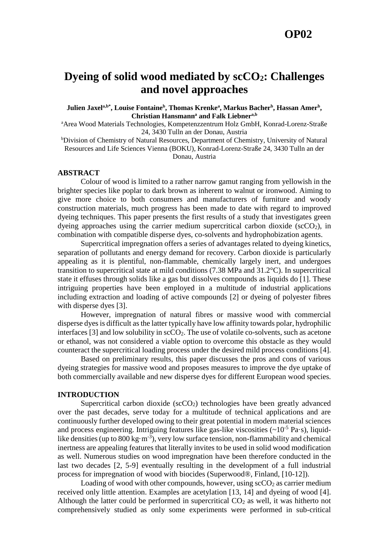# **Dyeing of solid wood mediated by scCO2: Challenges and novel approaches**

**Julien Jaxela,b\* , Louise Fontaine<sup>b</sup> , Thomas Krenke<sup>a</sup> , Markus Bacher<sup>b</sup> , Hassan Amer<sup>b</sup> , Christian Hansmann<sup>a</sup> and Falk Liebnera,b**

<sup>a</sup>Area Wood Materials Technologies, Kompetenzzentrum Holz GmbH, Konrad-Lorenz-Straße 24, 3430 Tulln an der Donau, Austria

bDivision of Chemistry of Natural Resources, Department of Chemistry, University of Natural Resources and Life Sciences Vienna (BOKU), Konrad-Lorenz-Straße 24, 3430 Tulln an der Donau, Austria

### **ABSTRACT**

Colour of wood is limited to a rather narrow gamut ranging from yellowish in the brighter species like poplar to dark brown as inherent to walnut or ironwood. Aiming to give more choice to both consumers and manufacturers of furniture and woody construction materials, much progress has been made to date with regard to improved dyeing techniques. This paper presents the first results of a study that investigates green dyeing approaches using the carrier medium supercritical carbon dioxide ( $\sec O_2$ ), in combination with compatible disperse dyes, co-solvents and hydrophobization agents.

Supercritical impregnation offers a series of advantages related to dyeing kinetics, separation of pollutants and energy demand for recovery. Carbon dioxide is particularly appealing as it is plentiful, non-flammable, chemically largely inert, and undergoes transition to supercritical state at mild conditions (7.38 MPa and 31.2°C). In supercritical state it effuses through solids like a gas but dissolves compounds as liquids do [1]. These intriguing properties have been employed in a multitude of industrial applications including extraction and loading of active compounds [2] or dyeing of polyester fibres with disperse dyes [3].

However, impregnation of natural fibres or massive wood with commercial disperse dyes is difficult as the latter typically have low affinity towards polar, hydrophilic interfaces  $[3]$  and low solubility in  $\sec O_2$ . The use of volatile co-solvents, such as acetone or ethanol, was not considered a viable option to overcome this obstacle as they would counteract the supercritical loading process under the desired mild process conditions [4].

Based on preliminary results, this paper discusses the pros and cons of various dyeing strategies for massive wood and proposes measures to improve the dye uptake of both commercially available and new disperse dyes for different European wood species.

#### **INTRODUCTION**

Supercritical carbon dioxide ( $\sec O_2$ ) technologies have been greatly advanced over the past decades, serve today for a multitude of technical applications and are continuously further developed owing to their great potential in modern material sciences and process engineering. Intriguing features like gas-like viscosities  $({\sim}10^{-5}$  Pa·s), liquidlike densities (up to  $800 \text{ kg} \cdot \text{m}^{-3}$ ), very low surface tension, non-flammability and chemical inertness are appealing features that literally invites to be used in solid wood modification as well. Numerous studies on wood impregnation have been therefore conducted in the last two decades [2, 5-9] eventually resulting in the development of a full industrial process for impregnation of wood with biocides (Superwood®, Finland, [10-12]).

Loading of wood with other compounds, however, using  $\text{scCO}_2$  as carrier medium received only little attention. Examples are acetylation [13, 14] and dyeing of wood [4]. Although the latter could be performed in supercritical  $CO<sub>2</sub>$  as well, it was hitherto not comprehensively studied as only some experiments were performed in sub-critical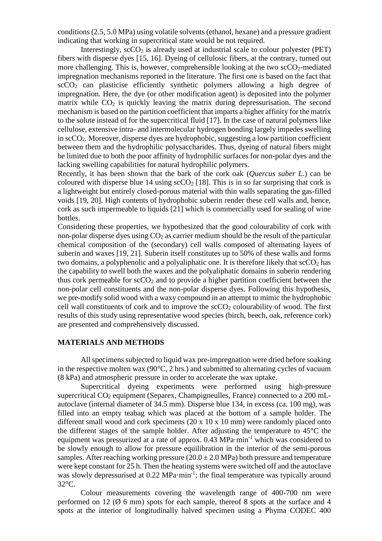conditions (2.5, 5.0 MPa) using volatile solvents (ethanol, hexane) and a pressure gradient indicating that working in supercritical state would be not required.

Interestingly,  $\sec O_2$  is already used at industrial scale to colour polyester (PET) fibers with disperse dyes [15, 16]. Dyeing of cellulosic fibers, at the contrary, turned out more challenging. This is, however, comprehensible looking at the two  $\text{scCO}_2$ -mediated impregnation mechanisms reported in the literature. The first one is based on the fact that  $\sec O_2$  can plasticise efficiently synthetic polymers allowing a high degree of impregnation. Here, the dye (or other modification agent) is deposited into the polymer matrix while  $CO<sub>2</sub>$  is quickly leaving the matrix during depressurisation. The second mechanism is based on the partition coefficient that imparts a higher affinity for the matrix to the solute instead of for the supercritical fluid [17]. In the case of natural polymers like cellulose, extensive intra- and intermolecular hydrogen bonding largely impedes swelling in  $\sec O_2$ . Moreover, disperse dyes are hydrophobic, suggesting a low partition coefficient between them and the hydrophilic polysaccharides. Thus, dyeing of natural fibers might be limited due to both the poor affinity of hydrophilic surfaces for non-polar dyes and the lacking swelling capabilities for natural hydrophilic polymers.

Recently, it has been shown that the bark of the cork oak (*Quercus suber L.*) can be coloured with disperse blue 14 using  $\sec O_2$  [18]. This is in so far surprising that cork is a lightweight but entirely closed-porous material with thin walls separating the gas-filled voids [19, 20]. High contents of hydrophobic suberin render these cell walls and, hence, cork as such impermeable to liquids [21] which is commercially used for sealing of wine bottles.

Considering these properties, we hypothesized that the good colourability of cork with non-polar disperse dyes using  $CO<sub>2</sub>$  as carrier medium should be the result of the particular chemical composition of the (secondary) cell walls composed of alternating layers of suberin and waxes [19, 21]. Suberin itself constitutes up to 50% of these walls and forms two domains, a polyphenolic and a polyaliphatic one. It is therefore likely that  $\sec O_2$  has the capability to swell both the waxes and the polyaliphatic domains in suberin rendering thus cork permeable for  $\sec 0_2$  and to provide a higher partition coefficient between the non-polar cell constituents and the non-polar disperse dyes. Following this hypothesis, we pre-modify solid wood with a waxy compound in an attempt to mimic the hydrophobic cell wall constituents of cork and to improve the  $\sec O_2$  colourability of wood. The first results of this study using representative wood species (birch, beech, oak, reference cork) are presented and comprehensively discussed.

# **MATERIALS AND METHODS**

All specimens subjected to liquid wax pre-impregnation were dried before soaking in the respective molten wax  $(90^{\circ}C, 2 \text{ hrs.})$  and submitted to alternating cycles of vacuum (8 kPa) and atmospheric pressure in order to accelerate the wax uptake.

Supercritical dyeing experiments were performed using high-pressure supercritical CO<sub>2</sub> equipment (Separex, Champigneulles, France) connected to a 200 mLautoclave (internal diameter of 34.5 mm). Disperse blue 134, in excess (ca. 100 mg), was filled into an empty teabag which was placed at the bottom of a sample holder. The different small wood and cork specimens  $(20 \times 10 \times 10 \text{ mm})$  were randomly placed onto the different stages of the sample holder. After adjusting the temperature to 45°C the equipment was pressurized at a rate of approx. 0.43 MPa·min-1 which was considered to be slowly enough to allow for pressure equilibration in the interior of the semi-porous samples. After reaching working pressure  $(20.0 \pm 2.0 \text{ MPa})$  both pressure and temperature were kept constant for 25 h. Then the heating systems were switched off and the autoclave was slowly depressurised at 0.22 MPa·min<sup>-1</sup>; the final temperature was typically around 32°C.

Colour measurements covering the wavelength range of 400-700 nm were performed on 12 ( $\emptyset$  6 mm) spots for each sample, thereof 8 spots at the surface and 4 spots at the interior of longitudinally halved specimen using a Phyma CODEC 400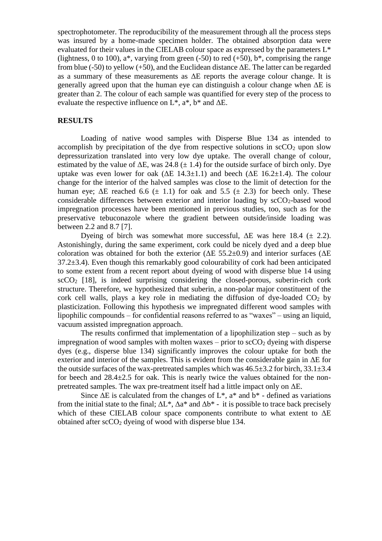spectrophotometer. The reproducibility of the measurement through all the process steps was insured by a home-made specimen holder. The obtained absorption data were evaluated for their values in the CIELAB colour space as expressed by the parameters L\* (lightness, 0 to 100),  $a^*$ , varying from green (-50) to red (+50),  $b^*$ , comprising the range from blue (-50) to yellow (+50), and the Euclidean distance  $\Delta E$ . The latter can be regarded as a summary of these measurements as ΔE reports the average colour change. It is generally agreed upon that the human eye can distinguish a colour change when ΔE is greater than 2. The colour of each sample was quantified for every step of the process to evaluate the respective influence on  $L^*$ ,  $a^*$ ,  $b^*$  and  $\Delta E$ .

### **RESULTS**

Loading of native wood samples with Disperse Blue 134 as intended to accomplish by precipitation of the dye from respective solutions in  $\sec O_2$  upon slow depressurization translated into very low dye uptake. The overall change of colour, estimated by the value of  $\Delta E$ , was 24.8 ( $\pm$  1.4) for the outside surface of birch only. Dye uptake was even lower for oak ( $\Delta E$  14.3±1.1) and beech ( $\Delta E$  16.2±1.4). The colour change for the interior of the halved samples was close to the limit of detection for the human eye;  $\Delta E$  reached 6.6 ( $\pm$  1.1) for oak and 5.5 ( $\pm$  2.3) for beech only. These considerable differences between exterior and interior loading by scCO<sub>2</sub>-based wood impregnation processes have been mentioned in previous studies, too, such as for the preservative tebuconazole where the gradient between outside/inside loading was between 2.2 and 8.7 [7].

Dyeing of birch was somewhat more successful.  $\Delta E$  was here 18.4 ( $\pm$  2.2). Astonishingly, during the same experiment, cork could be nicely dyed and a deep blue coloration was obtained for both the exterior ( $\Delta E$  55.2±0.9) and interior surfaces ( $\Delta E$ 37.2±3.4). Even though this remarkably good colourability of cork had been anticipated to some extent from a recent report about dyeing of wood with disperse blue 14 using  $\sec CO_2$  [18], is indeed surprising considering the closed-porous, suberin-rich cork structure. Therefore, we hypothesized that suberin, a non-polar major constituent of the cork cell walls, plays a key role in mediating the diffusion of dye-loaded  $CO<sub>2</sub>$  by plasticization. Following this hypothesis we impregnated different wood samples with lipophilic compounds – for confidential reasons referred to as "waxes" – using an liquid, vacuum assisted impregnation approach.

The results confirmed that implementation of a lipophilization step – such as by impregnation of wood samples with molten waxes – prior to  $\sec O_2$  dyeing with disperse dyes (e.g., disperse blue 134) significantly improves the colour uptake for both the exterior and interior of the samples. This is evident from the considerable gain in ΔE for the outside surfaces of the wax-pretreated samples which was  $46.5\pm3.2$  for birch,  $33.1\pm3.4$ for beech and  $28.4\pm 2.5$  for oak. This is nearly twice the values obtained for the nonpretreated samples. The wax pre-treatment itself had a little impact only on ΔE.

Since  $\Delta E$  is calculated from the changes of  $L^*$ ,  $a^*$  and  $b^*$  - defined as variations from the initial state to the final;  $\Delta L^*$ ,  $\Delta a^*$  and  $\Delta b^*$  - it is possible to trace back precisely which of these CIELAB colour space components contribute to what extent to ΔE obtained after  $\sec O_2$  dyeing of wood with disperse blue 134.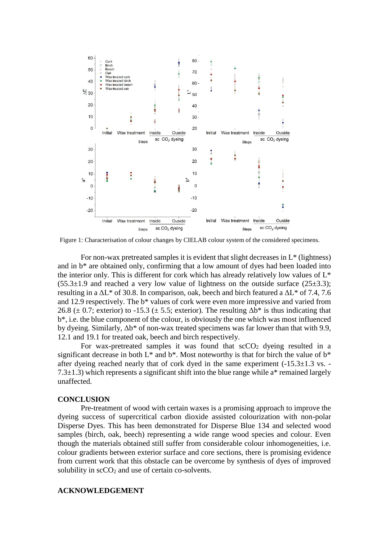

Figure 1: Characterisation of colour changes by CIELAB colour system of the considered specimens.

For non-wax pretreated samples it is evident that slight decreases in L\* (lightness) and in b\* are obtained only, confirming that a low amount of dyes had been loaded into the interior only. This is different for cork which has already relatively low values of L\*  $(55.3\pm1.9)$  and reached a very low value of lightness on the outside surface  $(25\pm3.3)$ ; resulting in a  $\Delta L^*$  of 30.8. In comparison, oak, beech and birch featured a  $\Delta L^*$  of 7.4, 7.6 and 12.9 respectively. The b\* values of cork were even more impressive and varied from 26.8 ( $\pm$  0.7; exterior) to -15.3 ( $\pm$  5.5; exterior). The resulting  $\Delta b^*$  is thus indicating that b\*, i.e. the blue component of the colour, is obviously the one which was most influenced by dyeing. Similarly, Δb\* of non-wax treated specimens was far lower than that with 9.9, 12.1 and 19.1 for treated oak, beech and birch respectively.

For wax-pretreated samples it was found that  $\sec O_2$  dyeing resulted in a significant decrease in both  $L^*$  and  $b^*$ . Most noteworthy is that for birch the value of  $b^*$ after dyeing reached nearly that of cork dyed in the same experiment  $(-15.3 \pm 1.3 \text{ vs.} -1.3 \text{ vs.} -1.3 \text{ vs.} -1.3 \text{ vs.} -1.3 \text{ vs.} -1.3 \text{ vs.} -1.3 \text{ vs.} -1.3 \text{ vs.} -1.3 \text{ vs.} -1.3 \text{ vs.} -1.3 \text{ vs.} -1.3 \text{ vs.} -1.3 \text{ vs.} -1.3 \text{ vs.} -1.3$ 7.3 $\pm$ 1.3) which represents a significant shift into the blue range while a\* remained largely unaffected.

## **CONCLUSION**

Pre-treatment of wood with certain waxes is a promising approach to improve the dyeing success of supercritical carbon dioxide assisted colourization with non-polar Disperse Dyes. This has been demonstrated for Disperse Blue 134 and selected wood samples (birch, oak, beech) representing a wide range wood species and colour. Even though the materials obtained still suffer from considerable colour inhomogeneities, i.e. colour gradients between exterior surface and core sections, there is promising evidence from current work that this obstacle can be overcome by synthesis of dyes of improved solubility in  $\sec O_2$  and use of certain co-solvents.

#### **ACKNOWLEDGEMENT**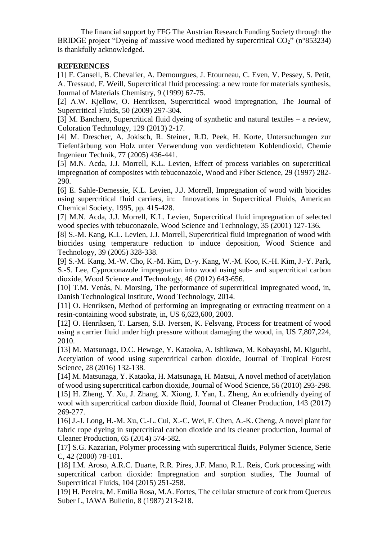The financial support by FFG The Austrian Research Funding Society through the BRIDGE project "Dyeing of massive wood mediated by supercritical  $CO<sub>2</sub>$ " (n°853234) is thankfully acknowledged.

# **REFERENCES**

[1] F. Cansell, B. Chevalier, A. Demourgues, J. Etourneau, C. Even, V. Pessey, S. Petit, A. Tressaud, F. Weill, Supercritical fluid processing: a new route for materials synthesis, Journal of Materials Chemistry, 9 (1999) 67-75.

[2] A.W. Kjellow, O. Henriksen, Supercritical wood impregnation, The Journal of Supercritical Fluids, 50 (2009) 297-304.

[3] M. Banchero, Supercritical fluid dyeing of synthetic and natural textiles – a review, Coloration Technology, 129 (2013) 2-17.

[4] M. Drescher, A. Jokisch, R. Steiner, R.D. Peek, H. Korte, Untersuchungen zur Tiefenfärbung von Holz unter Verwendung von verdichtetem Kohlendioxid, Chemie Ingenieur Technik, 77 (2005) 436-441.

[5] M.N. Acda, J.J. Morrell, K.L. Levien, Effect of process variables on supercritical impregnation of composites with tebuconazole, Wood and Fiber Science, 29 (1997) 282- 290.

[6] E. Sahle-Demessie, K.L. Levien, J.J. Morrell, Impregnation of wood with biocides using supercritical fluid carriers, in: Innovations in Supercritical Fluids, American Chemical Society, 1995, pp. 415-428.

[7] M.N. Acda, J.J. Morrell, K.L. Levien, Supercritical fluid impregnation of selected wood species with tebuconazole, Wood Science and Technology, 35 (2001) 127-136.

[8] S.-M. Kang, K.L. Levien, J.J. Morrell, Supercritical fluid impregnation of wood with biocides using temperature reduction to induce deposition, Wood Science and Technology, 39 (2005) 328-338.

[9] S.-M. Kang, M.-W. Cho, K.-M. Kim, D.-y. Kang, W.-M. Koo, K.-H. Kim, J.-Y. Park, S.-S. Lee, Cyproconazole impregnation into wood using sub- and supercritical carbon dioxide, Wood Science and Technology, 46 (2012) 643-656.

[10] T.M. Venås, N. Morsing, The performance of supercritical impregnated wood, in, Danish Technological Institute, Wood Technology, 2014.

[11] O. Henriksen, Method of performing an impregnating or extracting treatment on a resin-containing wood substrate, in, US 6,623,600, 2003.

[12] O. Henriksen, T. Larsen, S.B. Iversen, K. Felsvang, Process for treatment of wood using a carrier fluid under high pressure without damaging the wood, in, US 7,807,224, 2010.

[13] M. Matsunaga, D.C. Hewage, Y. Kataoka, A. Ishikawa, M. Kobayashi, M. Kiguchi, Acetylation of wood using supercritical carbon dioxide, Journal of Tropical Forest Science, 28 (2016) 132-138.

[14] M. Matsunaga, Y. Kataoka, H. Matsunaga, H. Matsui, A novel method of acetylation of wood using supercritical carbon dioxide, Journal of Wood Science, 56 (2010) 293-298. [15] H. Zheng, Y. Xu, J. Zhang, X. Xiong, J. Yan, L. Zheng, An ecofriendly dyeing of wool with supercritical carbon dioxide fluid, Journal of Cleaner Production, 143 (2017) 269-277.

[16] J.-J. Long, H.-M. Xu, C.-L. Cui, X.-C. Wei, F. Chen, A.-K. Cheng, A novel plant for fabric rope dyeing in supercritical carbon dioxide and its cleaner production, Journal of Cleaner Production, 65 (2014) 574-582.

[17] S.G. Kazarian, Polymer processing with supercritical fluids, Polymer Science, Serie C, 42 (2000) 78-101.

[18] I.M. Aroso, A.R.C. Duarte, R.R. Pires, J.F. Mano, R.L. Reis, Cork processing with supercritical carbon dioxide: Impregnation and sorption studies, The Journal of Supercritical Fluids, 104 (2015) 251-258.

[19] H. Pereira, M. Emília Rosa, M.A. Fortes, The cellular structure of cork from Quercus Suber L, IAWA Bulletin, 8 (1987) 213-218.